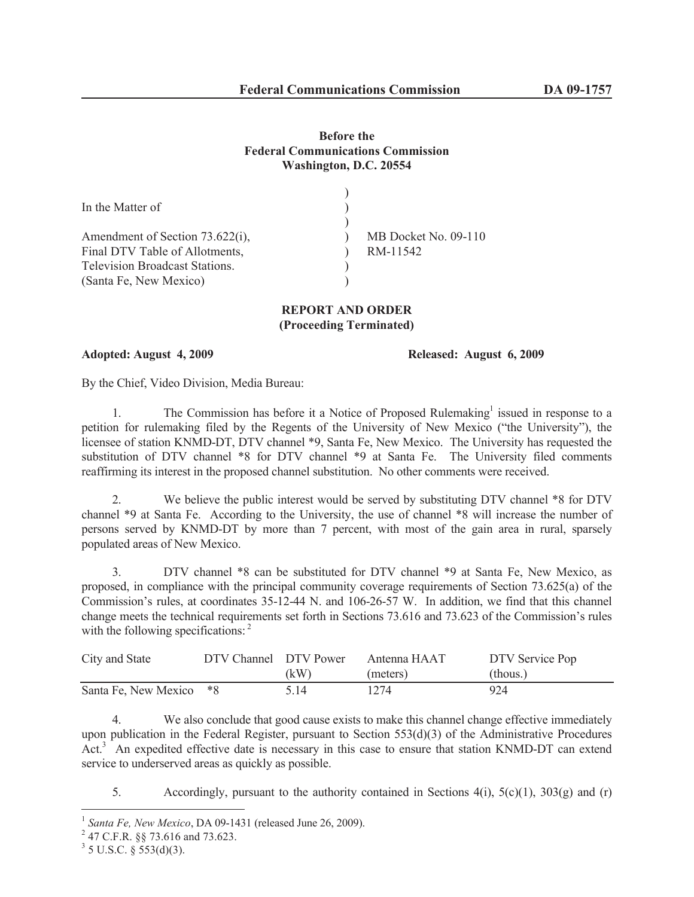## **Before the Federal Communications Commission Washington, D.C. 20554**

| In the Matter of                      |                      |
|---------------------------------------|----------------------|
|                                       |                      |
| Amendment of Section 73.622(i),       | MB Docket No. 09-110 |
| Final DTV Table of Allotments,        | RM-11542             |
| <b>Television Broadcast Stations.</b> |                      |
| (Santa Fe, New Mexico)                |                      |
|                                       |                      |

## **REPORT AND ORDER (Proceeding Terminated)**

**Adopted: August 4, 2009 Released: August 6, 2009**

By the Chief, Video Division, Media Bureau:

1. The Commission has before it a Notice of Proposed Rulemaking<sup>1</sup> issued in response to a petition for rulemaking filed by the Regents of the University of New Mexico ("the University"), the licensee of station KNMD-DT, DTV channel \*9, Santa Fe, New Mexico. The University has requested the substitution of DTV channel \*8 for DTV channel \*9 at Santa Fe. The University filed comments reaffirming its interest in the proposed channel substitution. No other comments were received.

2. We believe the public interest would be served by substituting DTV channel \*8 for DTV channel \*9 at Santa Fe. According to the University, the use of channel \*8 will increase the number of persons served by KNMD-DT by more than 7 percent, with most of the gain area in rural, sparsely populated areas of New Mexico.

3. DTV channel \*8 can be substituted for DTV channel \*9 at Santa Fe, New Mexico, as proposed, in compliance with the principal community coverage requirements of Section 73.625(a) of the Commission's rules, at coordinates 35-12-44 N. and 106-26-57 W. In addition, we find that this channel change meets the technical requirements set forth in Sections 73.616 and 73.623 of the Commission's rules with the following specifications:<sup>2</sup>

| City and State          | DTV Channel DTV Power |      | Antenna HAAT | DTV Service Pop |
|-------------------------|-----------------------|------|--------------|-----------------|
|                         |                       | (kW) | (meters)     | (thous.)        |
| Santa Fe, New Mexico *8 |                       | 5.14 | 1274         | 924             |

4. We also conclude that good cause exists to make this channel change effective immediately upon publication in the Federal Register, pursuant to Section 553(d)(3) of the Administrative Procedures Act.<sup>3</sup> An expedited effective date is necessary in this case to ensure that station KNMD-DT can extend service to underserved areas as quickly as possible.

5. Accordingly, pursuant to the authority contained in Sections  $4(i)$ ,  $5(c)(1)$ ,  $303(g)$  and (r)

<sup>1</sup> *Santa Fe, New Mexico*, DA 09-1431 (released June 26, 2009).

 $^{2}$  47 C.F.R. §§ 73.616 and 73.623.

 $3$  5 U.S.C. § 553(d)(3).